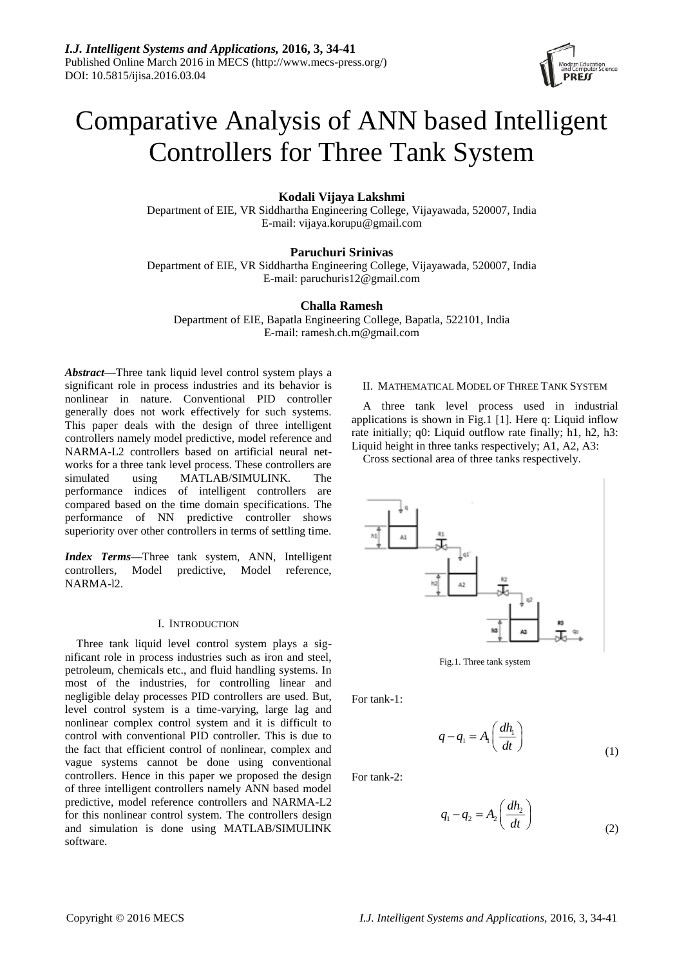

# Comparative Analysis of ANN based Intelligent Controllers for Three Tank System

# **Kodali Vijaya Lakshmi**

Department of EIE, VR Siddhartha Engineering College, Vijayawada, 520007, India E-mail: vijaya.korupu@gmail.com

# **Paruchuri Srinivas**

Department of EIE, VR Siddhartha Engineering College, Vijayawada, 520007, India E-mail: paruchuris12@gmail.com

## **Challa Ramesh**

Department of EIE, Bapatla Engineering College, Bapatla, 522101, India E-mail: ramesh.ch.m@gmail.com

*Abstract***—**Three tank liquid level control system plays a significant role in process industries and its behavior is nonlinear in nature. Conventional PID controller generally does not work effectively for such systems. This paper deals with the design of three intelligent controllers namely model predictive, model reference and NARMA-L2 controllers based on artificial neural networks for a three tank level process. These controllers are simulated using MATLAB/SIMULINK. The performance indices of intelligent controllers are compared based on the time domain specifications. The performance of NN predictive controller shows superiority over other controllers in terms of settling time.

*Index Terms***—**Three tank system, ANN, Intelligent controllers, Model predictive, Model reference, NARMA-l2.

## I. INTRODUCTION

Three tank liquid level control system plays a significant role in process industries such as iron and steel, petroleum, chemicals etc., and fluid handling systems. In most of the industries, for controlling linear and negligible delay processes PID controllers are used. But, level control system is a time-varying, large lag and nonlinear complex control system and it is difficult to control with conventional PID controller. This is due to the fact that efficient control of nonlinear, complex and vague systems cannot be done using conventional controllers. Hence in this paper we proposed the design of three intelligent controllers namely ANN based model predictive, model reference controllers and NARMA-L2 for this nonlinear control system. The controllers design and simulation is done using MATLAB/SIMULINK software.

## II. MATHEMATICAL MODEL OF THREE TANK SYSTEM

A three tank level process used in industrial applications is shown in Fig.1 [1]. Here q: Liquid inflow rate initially; q0: Liquid outflow rate finally; h1, h2, h3: Liquid height in three tanks respectively; A1, A2, A3:

Cross sectional area of three tanks respectively.



Fig.1. Three tank system

For tank-1:

$$
q - q_1 = A_1 \left(\frac{dh_1}{dt}\right) \tag{1}
$$

For tank-2:

$$
q_1 - q_2 = A_2 \left(\frac{dh_2}{dt}\right) \tag{2}
$$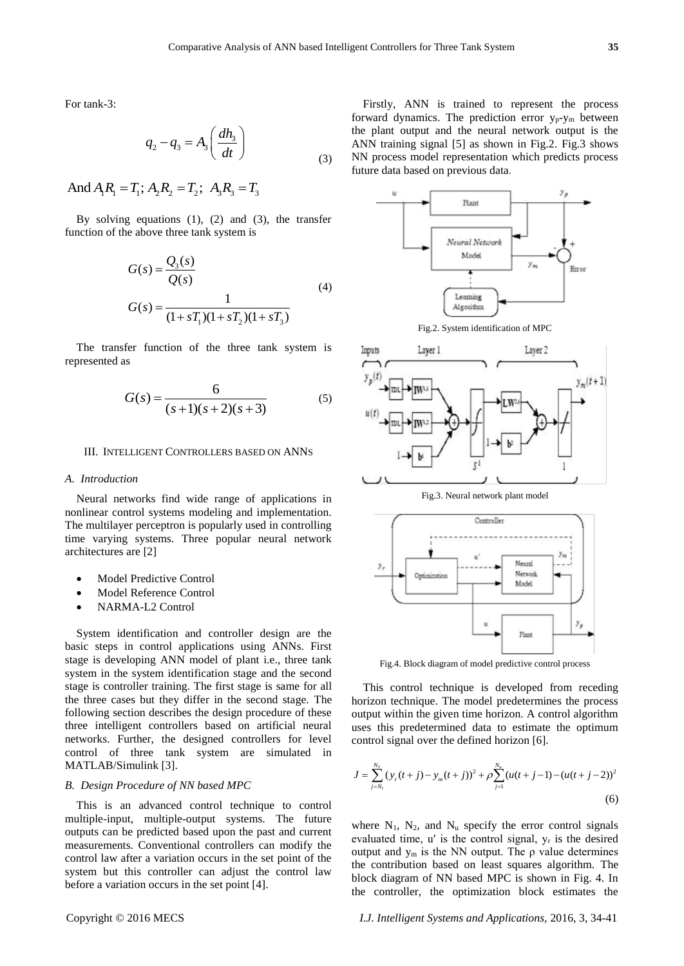For tank-3:

$$
q_2 - q_3 = A_3 \left(\frac{dh_3}{dt}\right) \tag{3}
$$

And  $A_1R_1 = T_1$ ;  $A_2R_2 = T_2$ ;  $A_3R_3 = T_3$ 

By solving equations (1), (2) and (3), the transfer function of the above three tank system is

$$
G(s) = \frac{Q_3(s)}{Q(s)}
$$
  
\n
$$
G(s) = \frac{1}{(1 + sT_1)(1 + sT_2)(1 + sT_3)}
$$
\n(4)

The transfer function of the three tank system is represented as

$$
G(s) = \frac{6}{(s+1)(s+2)(s+3)}
$$
 (5)

#### III. INTELLIGENT CONTROLLERS BASED ON ANNS

#### *A. Introduction*

Neural networks find wide range of applications in nonlinear control systems modeling and implementation. The multilayer perceptron is popularly used in controlling time varying systems. Three popular neural network architectures are [2]

- Model Predictive Control
- Model Reference Control
- NARMA-L2 Control

System identification and controller design are the basic steps in control applications using ANNs. First stage is developing ANN model of plant i.e., three tank system in the system identification stage and the second stage is controller training. The first stage is same for all the three cases but they differ in the second stage. The following section describes the design procedure of these three intelligent controllers based on artificial neural networks. Further, the designed controllers for level control of three tank system are simulated in MATLAB/Simulink [3].

## *B. Design Procedure of NN based MPC*

This is an advanced control technique to control multiple-input, multiple-output systems. The future outputs can be predicted based upon the past and current measurements. Conventional controllers can modify the control law after a variation occurs in the set point of the system but this controller can adjust the control law before a variation occurs in the set point [4].





Fig.4. Block diagram of model predictive control process

This control technique is developed from receding horizon technique. The model predetermines the process output within the given time horizon. A control algorithm uses this predetermined data to estimate the optimum control signal over the defined horizon [6].

uses this predetermined data to estimate the optimum control signal over the defined horizon [6].  
\n
$$
J = \sum_{j=N_1}^{N_2} (y_r(t+j) - y_m(t+j))^2 + \rho \sum_{j=1}^{N_u} (u(t+j-1) - (u(t+j-2))^2)
$$
\n(6)

where  $N_1$ ,  $N_2$ , and  $N_u$  specify the error control signals evaluated time, u′ is the control signal, y<sup>r</sup> is the desired output and  $y<sub>m</sub>$  is the NN output. The ρ value determines the contribution based on least squares algorithm. The block diagram of NN based MPC is shown in Fig. 4. In the controller, the optimization block estimates the

Copyright © 2016 MECS *I.J. Intelligent Systems and Applications,* 2016, 3, 34-41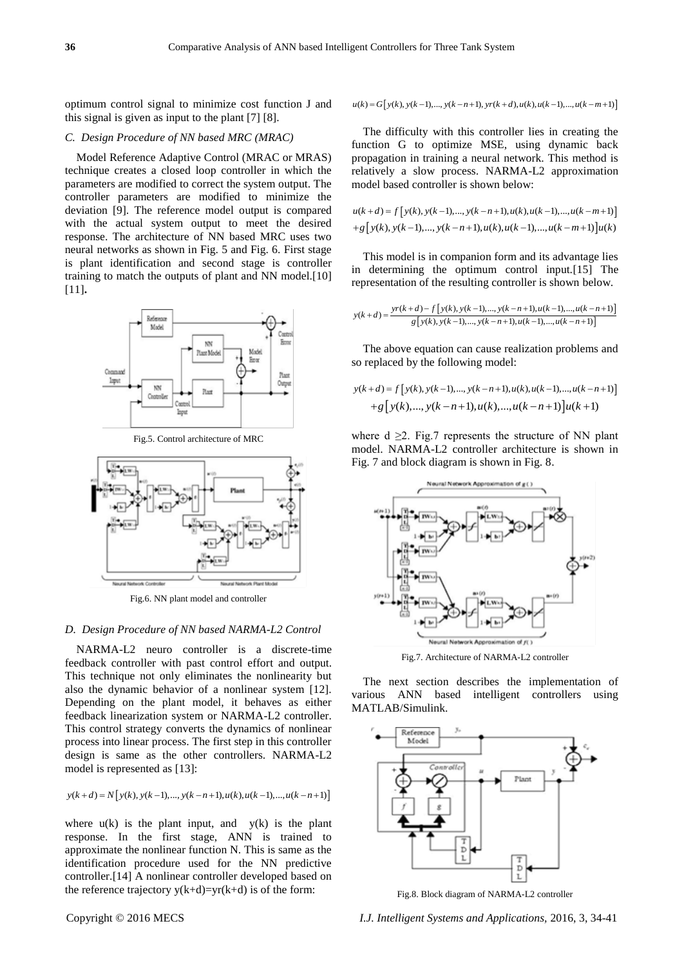optimum control signal to minimize cost function J and this signal is given as input to the plant [7] [8].

#### *C. Design Procedure of NN based MRC (MRAC)*

Model Reference Adaptive Control (MRAC or MRAS) technique creates a closed loop controller in which the parameters are modified to correct the system output. The controller parameters are modified to minimize the deviation [9]. The reference model output is compared with the actual system output to meet the desired response. The architecture of NN based MRC uses two neural networks as shown in Fig. 5 and Fig. 6. First stage is plant identification and second stage is controller training to match the outputs of plant and NN model.[10] [11]**.**



Fig.5. Control architecture of MRC



Fig.6. NN plant model and controller

#### *D. Design Procedure of NN based NARMA-L2 Control*

NARMA-L2 neuro controller is a discrete-time feedback controller with past control effort and output. This technique not only eliminates the nonlinearity but also the dynamic behavior of a nonlinear system [12]. Depending on the plant model, it behaves as either feedback linearization system or NARMA-L2 controller. This control strategy converts the dynamics of nonlinear process into linear process. The first step in this controller design is same as the other controllers. NARMA-L2 model is represented as [13]: *y* (*k* + *d*) = *N*[*y*(*k*), *y*(*k* - 1),..., *y*(*k* - *n*+1), *u*(*k*), *u*(*k* - 1),..., *u*(*k* - *n*+1)]

$$
y(k+d) = N[y(k), y(k-1), ..., y(k-n+1), u(k), u(k-1), ..., u(k-n+1)]
$$

where  $u(k)$  is the plant input, and  $y(k)$  is the plant response. In the first stage, ANN is trained to approximate the nonlinear function N. This is same as the identification procedure used for the NN predictive controller.[14] A nonlinear controller developed based on the reference trajectory  $y(k+d)=yr(k+d)$  is of the form:

 $u(k) = G[y(k), y(k-1), ..., y(k-n+1), yr(k+d), u(k), u(k-1), ..., u(k-m+1)]$ 

The difficulty with this controller lies in creating the function G to optimize MSE, using dynamic back propagation in training a neural network. This method is relatively a slow process. NARMA-L2 approximation

model based controller is shown below:  
\n
$$
u(k+d) = f[y(k), y(k-1), ..., y(k-n+1), u(k), u(k-1), ..., u(k-m+1)] + g[y(k), y(k-1), ..., y(k-n+1), u(k), u(k-1), ..., u(k-m+1)]u(k)
$$

This model is in companion form and its advantage lies in determining the optimum control input.[15] The

representation of the resulting controller is shown below.  
\n
$$
y(k+d) = \frac{yr(k+d) - f[y(k), y(k-1), ..., y(k-n+1), u(k-1), ..., u(k-n+1)]}{g[y(k), y(k-1), ..., y(k-n+1), u(k-1), ..., u(k-n+1)]}
$$

The above equation can cause realization problems and

so replaced by the following model:  
\n
$$
y(k+d) = f[y(k), y(k-1), ..., y(k-n+1), u(k), u(k-1), ..., u(k-n+1)] + g[y(k), ..., y(k-n+1), u(k), ..., u(k-n+1)]u(k+1)
$$

where  $d \geq 2$ . Fig.7 represents the structure of NN plant model. NARMA-L2 controller architecture is shown in Fig. 7 and block diagram is shown in Fig. 8.



Fig.7. Architecture of NARMA-L2 controller

The next section describes the implementation of various ANN based intelligent controllers using MATLAB/Simulink.



Fig.8. Block diagram of NARMA-L2 controller

Copyright © 2016 MECS *I.J. Intelligent Systems and Applications,* 2016, 3, 34-41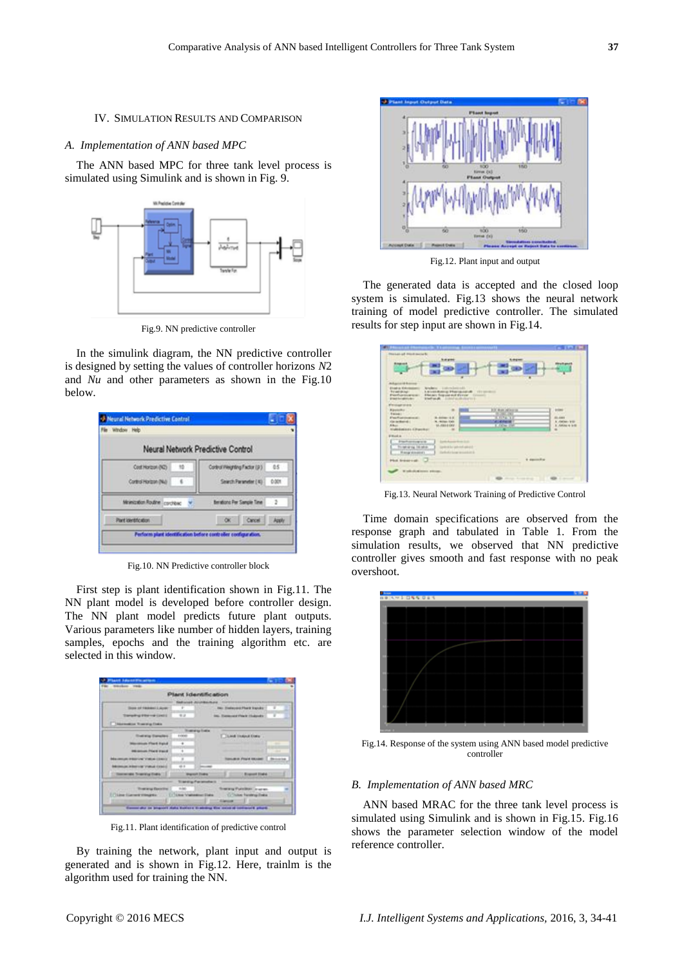#### IV. SIMULATION RESULTS AND COMPARISON

## *A. Implementation of ANN based MPC*

The ANN based MPC for three tank level process is simulated using Simulink and is shown in Fig. 9.



Fig.9. NN predictive controller

In the simulink diagram, the NN predictive controller is designed by setting the values of controller horizons *N*2 and *Nu* and other parameters as shown in the Fig.10 below.

| Neural Network Predictive Control  |
|------------------------------------|
|                                    |
| Contest Vergräng Factor (p.) 65    |
| Search Parameter (4) 0.001         |
| <b>Berations Per Sample Time 2</b> |
| OK Cancel Apply                    |
|                                    |

Fig.10. NN Predictive controller block

First step is plant identification shown in Fig.11. The NN plant model is developed before controller design. The NN plant model predicts future plant outputs. Various parameters like number of hidden layers, training samples, epochs and the training algorithm etc. are selected in this window.

|                                                      |                | Plant Identification            |                                                  |   |
|------------------------------------------------------|----------------|---------------------------------|--------------------------------------------------|---|
|                                                      |                | <b>Saltanet Average Ave</b>     |                                                  |   |
| <b>Scott of Valencia Licens</b>                      |                |                                 | <b>No. Endecade Photo Service</b>                |   |
| Transporting (Pillar and Condict)                    | 44             |                                 | <b>Inc.</b> Furnaced Place Hubbles               |   |
| <b>Thermodox Tracks Editor</b>                       |                |                                 |                                                  |   |
|                                                      |                | <b>Hospital Galler</b>          |                                                  |   |
| <b><i><u><u><b>Districts Denotes</b></u></u></i></b> | <b>EVROLET</b> |                                 | <b>C. Land Index Enty .</b>                      |   |
| Westernam (Florid Highel)                            | ٠              |                                 | and the property of the property                 |   |
| <b>WE served Place travel</b>                        | ٠              |                                 | and the property of the party of                 | ۰ |
| <b>Barnetts Pilot vie Vietne (Sen)</b>               |                |                                 | <b>Tomake Port Model   Drivered</b>              |   |
| <b>British and a few year of product classical</b>   | $-1$           |                                 |                                                  |   |
| <b>There winds Treatming State [1]</b>               |                | <b>Warrow Dietro</b>            | <b>Branch Highs</b>                              |   |
|                                                      |                | To select up of an annual as to |                                                  |   |
| <b>Transport Executive</b>                           | sales."        |                                 | www.Publiker.co.urun.                            |   |
| Thing the extreme is a con-                          |                | [1] Silvan Vrattestiner Elabs:  | <b>C. Tribe Fantria Tribe</b><br><b>STANDARD</b> |   |

Fig.11. Plant identification of predictive control

By training the network, plant input and output is generated and is shown in Fig.12. Here, trainlm is the algorithm used for training the NN.



Fig.12. Plant input and output

The generated data is accepted and the closed loop system is simulated. Fig.13 shows the neural network training of model predictive controller. The simulated results for step input are shown in Fig.14.

| ----<br><b>BANGHING SHOWER</b>                                                                                                                                                                                                                                           | ------                                                      | <b>CELLATION</b>                                                |
|--------------------------------------------------------------------------------------------------------------------------------------------------------------------------------------------------------------------------------------------------------------------------|-------------------------------------------------------------|-----------------------------------------------------------------|
| of account front for racial<br><b><i><u>Australian</u></i></b><br><b><i><u>Bisman and</u></i></b>                                                                                                                                                                        | <b><i><u>A. drug was</u></i></b>                            |                                                                 |
| Aldegrad 18 Sat<br>NewMeter - Liabrevillenceddin, 1971<br><b><i>Elizabia Kim</i></b><br>Trustaked.<br><b>Fastures</b> was<br>Electric Support and Extras Common<br><b>Kind and C. Linked students of the</b><br><b>Electric districts</b><br><b>Final stage stranger</b> | LAVALANCE PROGRAM & ITCHING                                 |                                                                 |
| <b>Riported</b> or<br><b>SHOW:</b><br><b>Free Australian and</b><br><br><b>Car be Board L. L.</b><br><b>STARS</b><br>mains plant<br><b>EBALL</b><br><b>RE</b><br>National Lines                                                                                          | Motiv, and bear car<br><b>All View Ad</b><br><b>COMPANY</b> | <b>PLANS</b><br>A' Abdison, \$100<br><b>E. Adoles &amp; LIE</b> |
| <b>E Book at</b><br><b>Parkenteens</b><br>this ball at the fire salesty<br><b><i>Philadelphianons</i></b>                                                                                                                                                                | abada pertaman<br>Antonio pertama                           |                                                                 |
| <b>Plus leasenab</b><br>advisor and a series.                                                                                                                                                                                                                            |                                                             | <b><i>A description</i></b>                                     |

Fig.13. Neural Network Training of Predictive Control

Time domain specifications are observed from the response graph and tabulated in Table 1. From the simulation results, we observed that NN predictive controller gives smooth and fast response with no peak overshoot.



Fig.14. Response of the system using ANN based model predictive controller

## *B. Implementation of ANN based MRC*

ANN based MRAC for the three tank level process is simulated using Simulink and is shown in Fig.15. Fig.16 shows the parameter selection window of the model reference controller.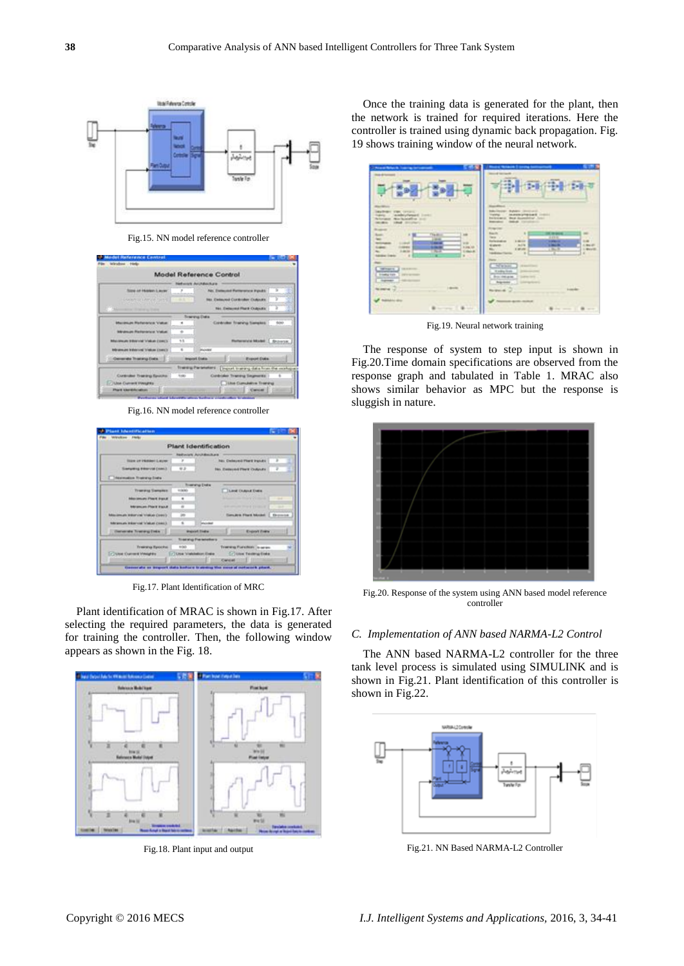

Fig.15. NN model reference controller

|                                              |        | <b>Model Reference Control</b> |                                                                     |               |
|----------------------------------------------|--------|--------------------------------|---------------------------------------------------------------------|---------------|
|                                              |        | <b>Network Averages</b>        |                                                                     |               |
| Size of Hawwr Laure                          | ×      |                                | Ain. Exclusive Permissions Panditi                                  | ъ             |
| Countries of the Visit State of              | m      |                                | No. Exhiqued Controller Cultivate.                                  | э             |
| Management Chapter to Trade                  |        |                                | <b>NAIL EMISSIONAl FRANK CIVILIANA</b>                              | э             |
|                                              |        | Training Cratis                |                                                                     |               |
| Manassare Reference Value                    | ×      |                                | Controller financial transies                                       | <b>Salain</b> |
| Mindmark Pierrentener Value:                 | ×      |                                |                                                                     |               |
| Mistranovan Military (all Schultzer College) | 13     |                                | <b>Reterence Model: Engineers</b>                                   |               |
| <b>Minimum Index und Status (com)</b>        | ٠      | <b>Warnford</b>                |                                                                     |               |
| Cremente Thanking Cola [1]                   |        | <b>Import Endis</b>            | <b>Proport Date</b>                                                 |               |
|                                              |        |                                | Transity Particle of L. Dispute to seleng claim financial incohoped |               |
| Curticular Trendry Spotter                   | 10,000 |                                | Controller Transmit Segments                                        |               |
| In Island Current Investment                 |        |                                | <b>Little Cumulative Training</b>                                   |               |

Fig.16. NN model reference controller

|                                                        |                | Plant Identification                 |                                                    |   |
|--------------------------------------------------------|----------------|--------------------------------------|----------------------------------------------------|---|
|                                                        |                |                                      |                                                    |   |
|                                                        |                | <b>Reducers Architecture</b>         |                                                    |   |
| <b>States und Insulated Library</b>                    |                |                                      | <b>No: Celleced Plant Ingolds</b>                  |   |
| Samplered Editorical (Institut)                        | 41.31          |                                      | <b>R&amp;A Credesvelet Flow &amp; Chillighters</b> |   |
| <b>Commutes frames free</b>                            |                |                                      |                                                    |   |
|                                                        |                | <b><i><u>Roserving Disks</u></i></b> |                                                    |   |
| <b>Transvalle Gampion</b>                              | 4,000          |                                      | <b>C. During Challenge Creation</b>                |   |
| <b>Manufacturers (Please) (Figure 4)</b>               | ٠              |                                      | the formation of the first of the state of         | ـ |
| <b>Interpretazio (Plazzi) il goluiti</b>               | ×              |                                      | and services three in the second                   |   |
| <b>Make complete Welcomplet International Controls</b> | 30             |                                      | <b>Grades Flori Model   Drawing</b>                |   |
| following the telephone of Values Come 3.              | ×              | <b>Marketing</b>                     |                                                    |   |
| <b>Conversité Travéry Entit</b>                        |                | Weighted Steaker                     | <b>English English</b>                             |   |
|                                                        |                | Treatma Parteneters                  |                                                    |   |
| Training Taskirke                                      | <b>Killall</b> |                                      | Training Function: Is seen.                        |   |
| TV Diese Krummen Virtuighten                           |                | /7 Linux Visabilistical English -    | Critical Factoria Code:                            |   |

Fig.17. Plant Identification of MRC

Plant identification of MRAC is shown in Fig.17. After selecting the required parameters, the data is generated for training the controller. Then, the following window appears as shown in the Fig. 18.



Fig.18. Plant input and output

Once the training data is generated for the plant, then the network is trained for required iterations. Here the controller is trained using dynamic back propagation. Fig. 19 shows training window of the neural network.

| The efficient companies<br><b>Warrior</b><br><b>FWC CENTS</b><br>ambigitesati limes<br>Northeastern and<br><b><i><u>Statistics</u></i></b><br><b>HAR STORY</b><br><b>MARKET</b>                                                                                               | <b>Mask School   code harmonized</b><br>. .<br>计加速<br>53<br><b>NAVIGATIVE RUNARY CREATIVES</b><br><b>MARKETHER CHILL</b><br><b>Targete</b><br>West Augustining Links<br><b>Foresterd</b><br><b>College College</b><br><b>International</b><br>---                                             |
|-------------------------------------------------------------------------------------------------------------------------------------------------------------------------------------------------------------------------------------------------------------------------------|-----------------------------------------------------------------------------------------------------------------------------------------------------------------------------------------------------------------------------------------------------------------------------------------------|
| ii.il<br>$\overline{a}$<br><b>The direct</b><br>$^{16}$<br>-<br><b>VIII</b><br>-<br>╼<br><b>A (40) 333</b><br><br>Lider &<br>14.4<br>⊶<br>- -<br><b>W. 11</b><br><b>NAMES FOR D</b><br><b>MERGET</b><br><b>CALCULATION</b><br><b>Crowday Ford</b><br><b><i>DESPERSORS</i></b> | trans<br>×<br><b>Bach</b><br>$\equiv$<br>--<br>3272<br>Here: 100<br><b>Estimated</b><br>44<br><b>Briderick</b><br><b>Language</b><br>Acre.<br>دست<br>A dealer<br>ti spierre.<br><b>Littleto</b><br>1,841<br>1. More<br>٠<br>×<br><b>THEMANY</b><br>-<br><b>Radio Sol</b><br><b>Brochelate</b> |
| <b>Grande</b><br>----<br><b>Labour</b><br><b>NUMBER</b><br><b>Baltimore</b>                                                                                                                                                                                                   | <b>Reprinted</b><br><b>Reserval</b> 2<br><b><i>ALCOHOL: MORAR</i></b><br>$\frac{1}{2} \left( \frac{1}{2} \right) \left( \frac{1}{2} \right) \left( \frac{1}{2} \right)$                                                                                                                       |

Fig.19. Neural network training

The response of system to step input is shown in Fig.20.Time domain specifications are observed from the response graph and tabulated in Table 1. MRAC also shows similar behavior as MPC but the response is sluggish in nature.



Fig.20. Response of the system using ANN based model reference controller

# *C. Implementation of ANN based NARMA-L2 Control*

The ANN based NARMA-L2 controller for the three tank level process is simulated using SIMULINK and is shown in Fig.21. Plant identification of this controller is shown in Fig.22.



Fig.21. NN Based NARMA-L2 Controller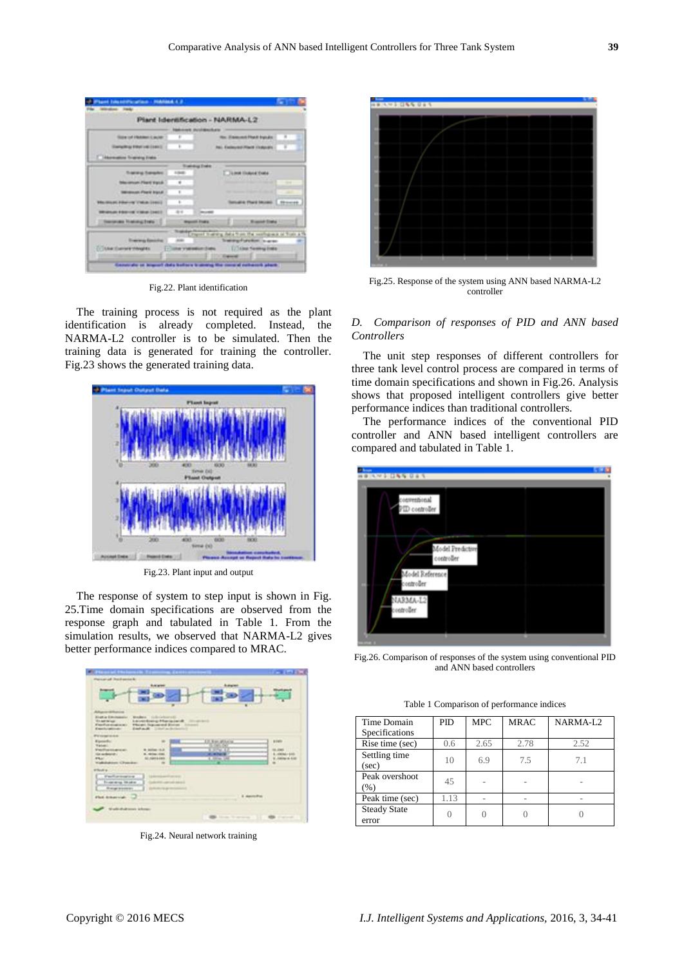|                                          |               | Plant Identification - NARMA-L2                              |
|------------------------------------------|---------------|--------------------------------------------------------------|
|                                          |               |                                                              |
|                                          |               | <b>Make and Architecture</b>                                 |
| <b>Size of Human Lacer</b>               |               | No. Element Flat E Input of                                  |
| <b>Startagethrap Interd call: (1841)</b> | ×             | <b>Ret. Exclassion Plant Exclusion</b>                       |
| <b>Storeshire Training Follo</b>         |               |                                                              |
|                                          |               | <b><i><u><u><b>Tradedus Ended</b></u></u></i></b>            |
| <b>Training Executive</b>                | <b>Limits</b> | <b>Talent Guiant Date</b>                                    |
| <b>Maxwellown Plant Equity</b>           | ٠             | -                                                            |
| Minimum Prent Ingeld                     | ×             | the statement three states of the state<br>-                 |
| Macmum Henrye (1968-1981)                | $\mathbf{z}$  | <b>Seriate Part Mottl.   Phones</b>                          |
| Minimum Editor (at 1790-9) (1991)        | 4.4           | <b>December</b>                                              |
| <b>Therapiece Theology Ends 12</b>       |               | 17 Wagner State 1<br><b>Carolina Prate</b>                   |
|                                          |               | story request that this data from the workspace of from a fe |
| <b>Training Essays</b>                   |               | Transport product to access                                  |

Fig.22. Plant identification

The training process is not required as the plant identification is already completed. Instead, the NARMA-L2 controller is to be simulated. Then the training data is generated for training the controller. Fig.23 shows the generated training data.



Fig.23. Plant input and output

The response of system to step input is shown in Fig. 25.Time domain specifications are observed from the response graph and tabulated in Table 1. From the simulation results, we observed that NARMA-L2 gives better performance indices compared to MRAC.



Fig.24. Neural network training



Fig.25. Response of the system using ANN based NARMA-L2 controller

## *D. Comparison of responses of PID and ANN based Controllers*

The unit step responses of different controllers for three tank level control process are compared in terms of time domain specifications and shown in Fig.26. Analysis shows that proposed intelligent controllers give better performance indices than traditional controllers.

The performance indices of the conventional PID controller and ANN based intelligent controllers are compared and tabulated in Table 1.



Fig.26. Comparison of responses of the system using conventional PID and ANN based controllers

|  |  |  | Table 1 Comparison of performance indices |  |
|--|--|--|-------------------------------------------|--|
|--|--|--|-------------------------------------------|--|

| Time Domain         | <b>PID</b> | <b>MPC</b> | <b>MRAC</b> | NARMA-L <sub>2</sub> |
|---------------------|------------|------------|-------------|----------------------|
| Specifications      |            |            |             |                      |
| Rise time (sec)     | 0.6        | 2.65       | 2.78        | 2.52                 |
| Settling time       | 10         | 6.9        | 7.5         | 7.1                  |
| $(\sec)$            |            |            |             |                      |
| Peak overshoot      | 45         |            |             |                      |
| $(\%)$              |            |            |             |                      |
| Peak time (sec)     | 1.13       |            |             |                      |
| <b>Steady State</b> |            |            |             |                      |
| error               |            |            |             |                      |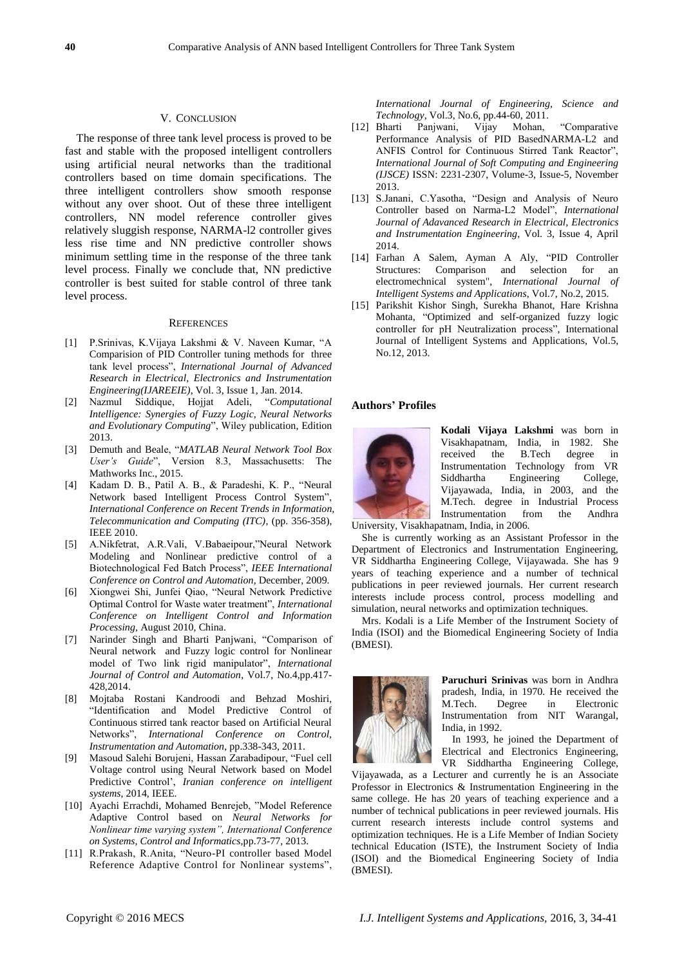## V. CONCLUSION

The response of three tank level process is proved to be fast and stable with the proposed intelligent controllers using artificial neural networks than the traditional controllers based on time domain specifications. The three intelligent controllers show smooth response without any over shoot. Out of these three intelligent controllers, NN model reference controller gives relatively sluggish response, NARMA-l2 controller gives less rise time and NN predictive controller shows minimum settling time in the response of the three tank level process. Finally we conclude that, NN predictive controller is best suited for stable control of three tank level process.

## **REFERENCES**

- [1] P.Srinivas, K.Vijaya Lakshmi & V. Naveen Kumar, "A Comparision of PID Controller tuning methods for three tank level process", *International Journal of Advanced Research in Electrical, Electronics and Instrumentation Engineering(IJAREEIE)*, Vol. 3, Issue 1, Jan. 2014.
- [2] Nazmul Siddique, Hojjat Adeli, "*Computational Intelligence: Synergies of Fuzzy Logic, Neural Networks and Evolutionary Computing*", Wiley publication, Edition 2013.
- [3] Demuth and Beale, "*MATLAB Neural Network Tool Box User's Guide*", Version 8.3, Massachusetts: The Mathworks Inc., 2015.
- [4] Kadam D. B., Patil A. B., & Paradeshi, K. P., "Neural Network based Intelligent Process Control System", *International Conference on Recent Trends in Information, Telecommunication and Computing (ITC)*, (pp. 356-358), IEEE 2010.
- [5] A.Nikfetrat, A.R.Vali, V.Babaeipour,"Neural Network Modeling and Nonlinear predictive control of a Biotechnological Fed Batch Process", *IEEE International Conference on Control and Automation*, December, 2009.
- [6] Xiongwei Shi, Junfei Qiao, "Neural Network Predictive Optimal Control for Waste water treatment", *International Conference on Intelligent Control and Information Processing,* August 2010, China.
- [7] Narinder Singh and Bharti Panjwani, "Comparison of Neural network and Fuzzy logic control for Nonlinear model of Two link rigid manipulator", *International Journal of Control and Automation*, Vol.7, No.4,pp.417- 428,2014.
- [8] Mojtaba Rostani Kandroodi and Behzad Moshiri, "Identification and Model Predictive Control of Continuous stirred tank reactor based on Artificial Neural Networks", *International Conference on Control, Instrumentation and Automation*, pp.338-343, 2011.
- [9] Masoud Salehi Borujeni, Hassan Zarabadipour, "Fuel cell Voltage control using Neural Network based on Model Predictive Control', *Iranian conference on intelligent systems*, 2014, IEEE.
- [10] Ayachi Errachdi, Mohamed Benrejeb, "Model Reference Adaptive Control based on *Neural Networks for Nonlinear time varying system", International Conference on Systems, Control and Informatics*,pp.73-77, 2013.
- [11] R.Prakash, R.Anita, "Neuro-PI controller based Model Reference Adaptive Control for Nonlinear systems",

*International Journal of Engineering, Science and Technology*, Vol.3, No.6, pp.44-60, 2011.

- [12] Bharti Panjwani, Vijay Mohan, "Comparative Performance Analysis of PID BasedNARMA-L2 and ANFIS Control for Continuous Stirred Tank Reactor", *International Journal of Soft Computing and Engineering (IJSCE)* ISSN: 2231-2307, Volume-3, Issue-5, November 2013.
- [13] S.Janani, C.Yasotha, "Design and Analysis of Neuro Controller based on Narma-L2 Model", *International Journal of Adavanced Research in Electrical, Electronics and Instrumentation Engineering*, Vol. 3, Issue 4, April 2014.
- [14] Farhan A Salem, Ayman A Aly, "PID Controller Structures: Comparison and selection for an electromechnical system", *International Journal of Intelligent Systems and Applications*, Vol.7, No.2, 2015.
- [15] Parikshit Kishor Singh, Surekha Bhanot, Hare Krishna Mohanta, "Optimized and self-organized fuzzy logic controller for pH Neutralization process", International Journal of Intelligent Systems and Applications, Vol.5, No.12, 2013.

#### **Authors' Profiles**



**Kodali Vijaya Lakshmi** was born in Visakhapatnam, India, in 1982. She received the B.Tech degree in Instrumentation Technology from VR Siddhartha Engineering College, Vijayawada, India, in 2003, and the M.Tech. degree in Industrial Process Instrumentation from the Andhra University, Visakhapatnam, India, in 2006.

She is currently working as an Assistant Professor in the Department of Electronics and Instrumentation Engineering, VR Siddhartha Engineering College, Vijayawada. She has 9 years of teaching experience and a number of technical publications in peer reviewed journals. Her current research interests include process control, process modelling and

simulation, neural networks and optimization techniques. Mrs. Kodali is a Life Member of the Instrument Society of India (ISOI) and the Biomedical Engineering Society of India (BMESI).



**Paruchuri Srinivas** was born in Andhra pradesh, India, in 1970. He received the M.Tech. Degree in Electronic Instrumentation from NIT Warangal, India, in 1992.

In 1993, he joined the Department of Electrical and Electronics Engineering, VR Siddhartha Engineering College,

Vijayawada, as a Lecturer and currently he is an Associate Professor in Electronics & Instrumentation Engineering in the same college. He has 20 years of teaching experience and a number of technical publications in peer reviewed journals. His current research interests include control systems and optimization techniques. He is a Life Member of Indian Society technical Education (ISTE), the Instrument Society of India (ISOI) and the Biomedical Engineering Society of India (BMESI).